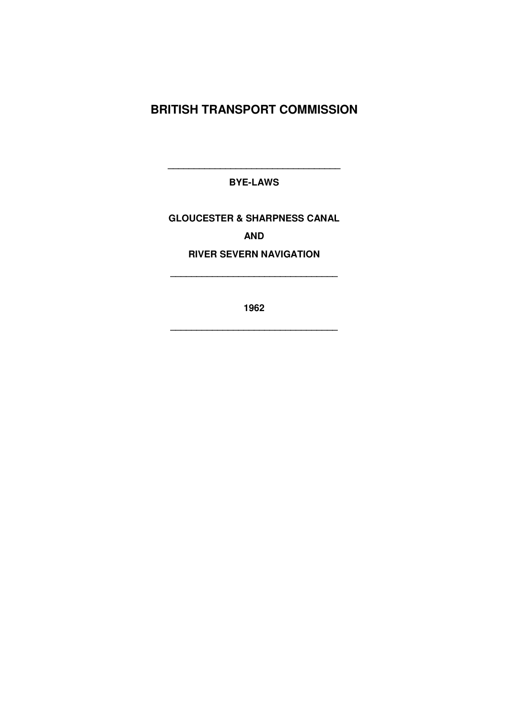### **BRITISH TRANSPORT COMMISSION**

**BYE-LAWS**

**\_\_\_\_\_\_\_\_\_\_\_\_\_\_\_\_\_\_\_\_\_\_\_\_\_\_\_\_\_\_\_\_\_**

### **GLOUCESTER & SHARPNESS CANAL AND**

### **RIVER SEVERN NAVIGATION**

**\_\_\_\_\_\_\_\_\_\_\_\_\_\_\_\_\_\_\_\_\_\_\_\_\_\_\_\_\_\_\_\_**

**1962**

**\_\_\_\_\_\_\_\_\_\_\_\_\_\_\_\_\_\_\_\_\_\_\_\_\_\_\_\_\_\_\_\_**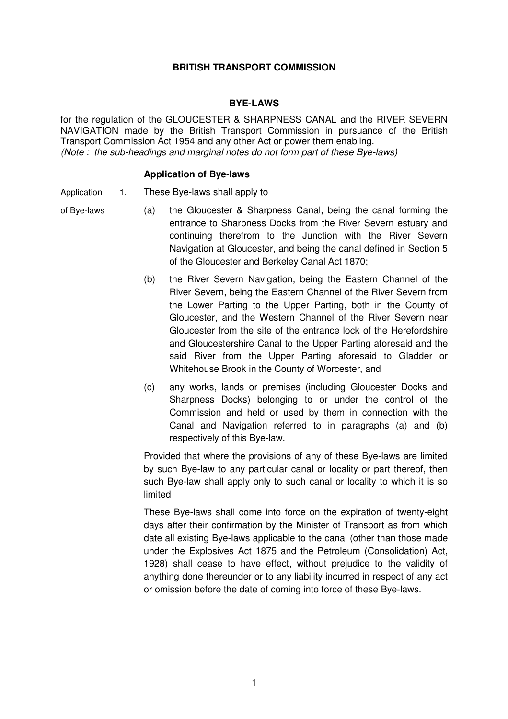#### **BRITISH TRANSPORT COMMISSION**

#### **BYE-LAWS**

for the regulation of the GLOUCESTER & SHARPNESS CANAL and the RIVER SEVERN NAVIGATION made by the British Transport Commission in pursuance of the British Transport Commission Act 1954 and any other Act or power them enabling. *(Note : the sub-headings and marginal notes do not form part of these Bye-laws)*

#### **Application of Bye-laws**

Application 1. These Bye-laws shall apply to

- of Bye-laws (a) the Gloucester & Sharpness Canal, being the canal forming the entrance to Sharpness Docks from the River Severn estuary and continuing therefrom to the Junction with the River Severn Navigation at Gloucester, and being the canal defined in Section 5 of the Gloucester and Berkeley Canal Act 1870;
	- (b) the River Severn Navigation, being the Eastern Channel of the River Severn, being the Eastern Channel of the River Severn from the Lower Parting to the Upper Parting, both in the County of Gloucester, and the Western Channel of the River Severn near Gloucester from the site of the entrance lock of the Herefordshire and Gloucestershire Canal to the Upper Parting aforesaid and the said River from the Upper Parting aforesaid to Gladder or Whitehouse Brook in the County of Worcester, and
	- (c) any works, lands or premises (including Gloucester Docks and Sharpness Docks) belonging to or under the control of the Commission and held or used by them in connection with the Canal and Navigation referred to in paragraphs (a) and (b) respectively of this Bye-law.

Provided that where the provisions of any of these Bye-laws are limited by such Bye-law to any particular canal or locality or part thereof, then such Bye-law shall apply only to such canal or locality to which it is so limited

These Bye-laws shall come into force on the expiration of twenty-eight days after their confirmation by the Minister of Transport as from which date all existing Bye-laws applicable to the canal (other than those made under the Explosives Act 1875 and the Petroleum (Consolidation) Act, 1928) shall cease to have effect, without prejudice to the validity of anything done thereunder or to any liability incurred in respect of any act or omission before the date of coming into force of these Bye-laws.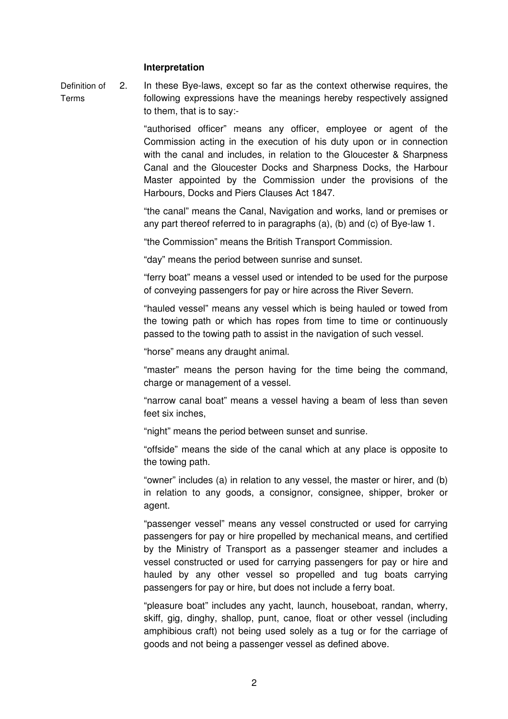#### **Interpretation**

Definition of Terms 2. In these Bye-laws, except so far as the context otherwise requires, the following expressions have the meanings hereby respectively assigned to them, that is to say:-

> "authorised officer" means any officer, employee or agent of the Commission acting in the execution of his duty upon or in connection with the canal and includes, in relation to the Gloucester & Sharpness Canal and the Gloucester Docks and Sharpness Docks, the Harbour Master appointed by the Commission under the provisions of the Harbours, Docks and Piers Clauses Act 1847.

> "the canal" means the Canal, Navigation and works, land or premises or any part thereof referred to in paragraphs (a), (b) and (c) of Bye-law 1.

"the Commission" means the British Transport Commission.

"day" means the period between sunrise and sunset.

"ferry boat" means a vessel used or intended to be used for the purpose of conveying passengers for pay or hire across the River Severn.

"hauled vessel" means any vessel which is being hauled or towed from the towing path or which has ropes from time to time or continuously passed to the towing path to assist in the navigation of such vessel.

"horse" means any draught animal.

"master" means the person having for the time being the command, charge or management of a vessel.

"narrow canal boat" means a vessel having a beam of less than seven feet six inches,

"night" means the period between sunset and sunrise.

"offside" means the side of the canal which at any place is opposite to the towing path.

"owner" includes (a) in relation to any vessel, the master or hirer, and (b) in relation to any goods, a consignor, consignee, shipper, broker or agent.

"passenger vessel" means any vessel constructed or used for carrying passengers for pay or hire propelled by mechanical means, and certified by the Ministry of Transport as a passenger steamer and includes a vessel constructed or used for carrying passengers for pay or hire and hauled by any other vessel so propelled and tug boats carrying passengers for pay or hire, but does not include a ferry boat.

"pleasure boat" includes any yacht, launch, houseboat, randan, wherry, skiff, gig, dinghy, shallop, punt, canoe, float or other vessel (including amphibious craft) not being used solely as a tug or for the carriage of goods and not being a passenger vessel as defined above.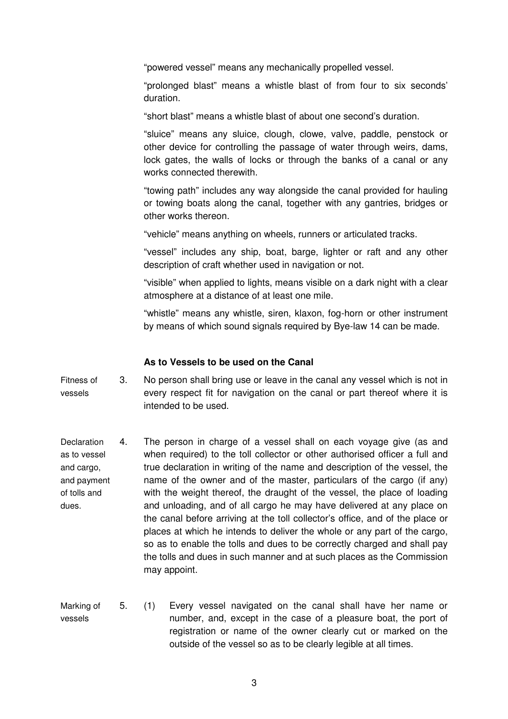"powered vessel" means any mechanically propelled vessel.

"prolonged blast" means a whistle blast of from four to six seconds' duration.

"short blast" means a whistle blast of about one second's duration.

"sluice" means any sluice, clough, clowe, valve, paddle, penstock or other device for controlling the passage of water through weirs, dams, lock gates, the walls of locks or through the banks of a canal or any works connected therewith.

"towing path" includes any way alongside the canal provided for hauling or towing boats along the canal, together with any gantries, bridges or other works thereon.

"vehicle" means anything on wheels, runners or articulated tracks.

"vessel" includes any ship, boat, barge, lighter or raft and any other description of craft whether used in navigation or not.

"visible" when applied to lights, means visible on a dark night with a clear atmosphere at a distance of at least one mile.

"whistle" means any whistle, siren, klaxon, fog-horn or other instrument by means of which sound signals required by Bye-law 14 can be made.

#### **As to Vessels to be used on the Canal**

Fitness of vessels 3. No person shall bring use or leave in the canal any vessel which is not in every respect fit for navigation on the canal or part thereof where it is intended to be used.

- **Declaration** as to vessel and cargo, and payment of tolls and dues. 4. The person in charge of a vessel shall on each voyage give (as and when required) to the toll collector or other authorised officer a full and true declaration in writing of the name and description of the vessel, the name of the owner and of the master, particulars of the cargo (if any) with the weight thereof, the draught of the vessel, the place of loading and unloading, and of all cargo he may have delivered at any place on the canal before arriving at the toll collector's office, and of the place or places at which he intends to deliver the whole or any part of the cargo, so as to enable the tolls and dues to be correctly charged and shall pay the tolls and dues in such manner and at such places as the Commission may appoint.
- Marking of vessels 5. (1) Every vessel navigated on the canal shall have her name or number, and, except in the case of a pleasure boat, the port of registration or name of the owner clearly cut or marked on the outside of the vessel so as to be clearly legible at all times.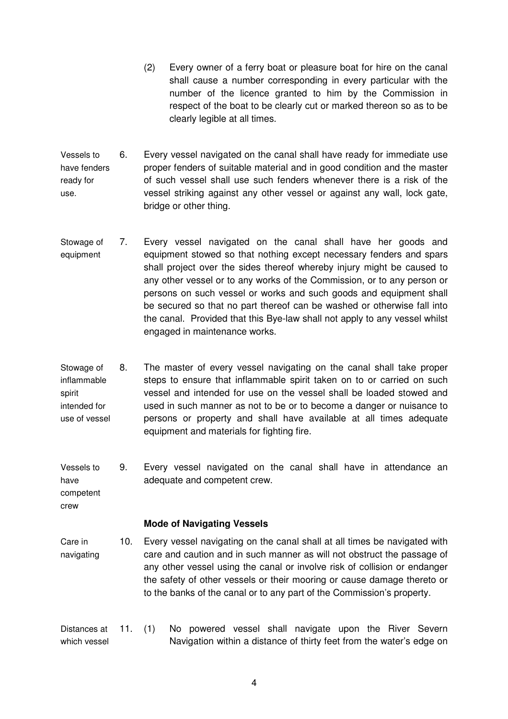- (2) Every owner of a ferry boat or pleasure boat for hire on the canal shall cause a number corresponding in every particular with the number of the licence granted to him by the Commission in respect of the boat to be clearly cut or marked thereon so as to be clearly legible at all times.
- Vessels to have fenders ready for use. 6. Every vessel navigated on the canal shall have ready for immediate use proper fenders of suitable material and in good condition and the master of such vessel shall use such fenders whenever there is a risk of the vessel striking against any other vessel or against any wall, lock gate, bridge or other thing.
- Stowage of equipment 7. Every vessel navigated on the canal shall have her goods and equipment stowed so that nothing except necessary fenders and spars shall project over the sides thereof whereby injury might be caused to any other vessel or to any works of the Commission, or to any person or persons on such vessel or works and such goods and equipment shall be secured so that no part thereof can be washed or otherwise fall into the canal. Provided that this Bye-law shall not apply to any vessel whilst engaged in maintenance works.
- Stowage of inflammable spirit intended for use of vessel 8. The master of every vessel navigating on the canal shall take proper steps to ensure that inflammable spirit taken on to or carried on such vessel and intended for use on the vessel shall be loaded stowed and used in such manner as not to be or to become a danger or nuisance to persons or property and shall have available at all times adequate equipment and materials for fighting fire.
- Vessels to have 9. Every vessel navigated on the canal shall have in attendance an adequate and competent crew.

**Mode of Navigating Vessels**

competent crew

- Care in navigating 10. Every vessel navigating on the canal shall at all times be navigated with care and caution and in such manner as will not obstruct the passage of any other vessel using the canal or involve risk of collision or endanger the safety of other vessels or their mooring or cause damage thereto or to the banks of the canal or to any part of the Commission's property.
- Distances at which vessel 11. (1) No powered vessel shall navigate upon the River Severn Navigation within a distance of thirty feet from the water's edge on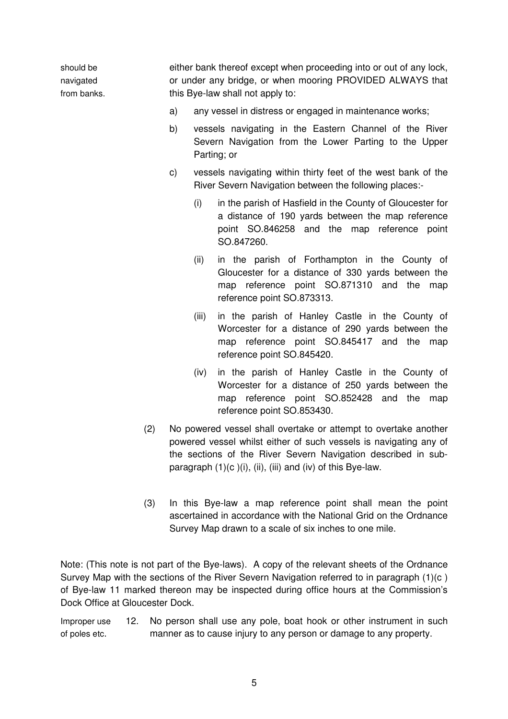should be navigated from banks. either bank thereof except when proceeding into or out of any lock, or under any bridge, or when mooring PROVIDED ALWAYS that this Bye-law shall not apply to:

- a) any vessel in distress or engaged in maintenance works;
- b) vessels navigating in the Eastern Channel of the River Severn Navigation from the Lower Parting to the Upper Parting; or
- c) vessels navigating within thirty feet of the west bank of the River Severn Navigation between the following places:-
	- (i) in the parish of Hasfield in the County of Gloucester for a distance of 190 yards between the map reference point SO.846258 and the map reference point SO.847260.
	- (ii) in the parish of Forthampton in the County of Gloucester for a distance of 330 yards between the map reference point SO.871310 and the map reference point SO.873313.
	- (iii) in the parish of Hanley Castle in the County of Worcester for a distance of 290 yards between the map reference point SO.845417 and the map reference point SO.845420.
	- (iv) in the parish of Hanley Castle in the County of Worcester for a distance of 250 yards between the map reference point SO.852428 and the map reference point SO.853430.
- (2) No powered vessel shall overtake or attempt to overtake another powered vessel whilst either of such vessels is navigating any of the sections of the River Severn Navigation described in subparagraph  $(1)(c)(i)$ ,  $(ii)$ ,  $(iii)$  and  $(iv)$  of this Bye-law.
- (3) In this Bye-law a map reference point shall mean the point ascertained in accordance with the National Grid on the Ordnance Survey Map drawn to a scale of six inches to one mile.

Note: (This note is not part of the Bye-laws). A copy of the relevant sheets of the Ordnance Survey Map with the sections of the River Severn Navigation referred to in paragraph (1)(c ) of Bye-law 11 marked thereon may be inspected during office hours at the Commission's Dock Office at Gloucester Dock.

Improper use 12. No person shall use any pole, boat hook or other instrument in such of poles etc. manner as to cause injury to any person or damage to any property.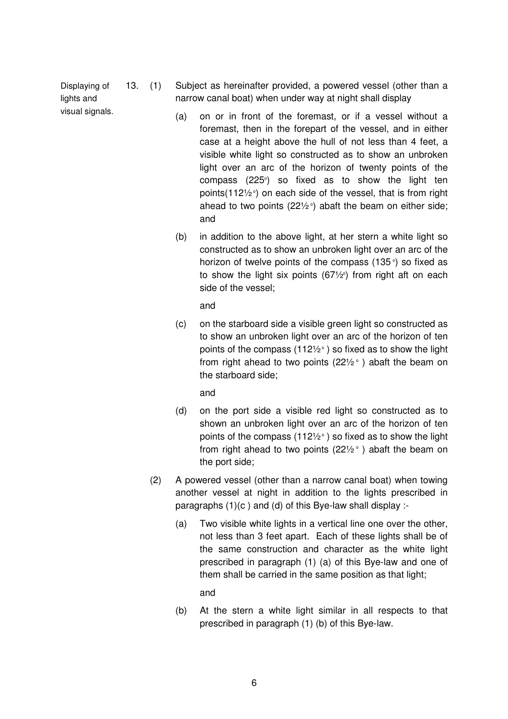Displaying of lights and visual signals.

- 13. (1) Subject as hereinafter provided, a powered vessel (other than a narrow canal boat) when under way at night shall display
	- (a) on or in front of the foremast, or if a vessel without a foremast, then in the forepart of the vessel, and in either case at a height above the hull of not less than 4 feet, a visible white light so constructed as to show an unbroken light over an arc of the horizon of twenty points of the compass (225°) so fixed as to show the light ten points(112½ $^{\circ}$ ) on each side of the vessel, that is from right ahead to two points (22½ $^{\circ}$ ) abaft the beam on either side; and
	- (b) in addition to the above light, at her stern a white light so constructed as to show an unbroken light over an arc of the horizon of twelve points of the compass (135 $^{\circ}$ ) so fixed as to show the light six points (67½°) from right aft on each side of the vessel;

and

(c) on the starboard side a visible green light so constructed as to show an unbroken light over an arc of the horizon of ten points of the compass (112½ $^{\circ}$  ) so fixed as to show the light from right ahead to two points (22½ $^{\circ}$  ) abaft the beam on the starboard side;

and

- (d) on the port side a visible red light so constructed as to shown an unbroken light over an arc of the horizon of ten points of the compass (112½ $^{\circ}$  ) so fixed as to show the light from right ahead to two points (22½ $^{\circ}$  ) abaft the beam on the port side;
- (2) A powered vessel (other than a narrow canal boat) when towing another vessel at night in addition to the lights prescribed in paragraphs (1)(c ) and (d) of this Bye-law shall display :-
	- (a) Two visible white lights in a vertical line one over the other, not less than 3 feet apart. Each of these lights shall be of the same construction and character as the white light prescribed in paragraph (1) (a) of this Bye-law and one of them shall be carried in the same position as that light;

and

(b) At the stern a white light similar in all respects to that prescribed in paragraph (1) (b) of this Bye-law.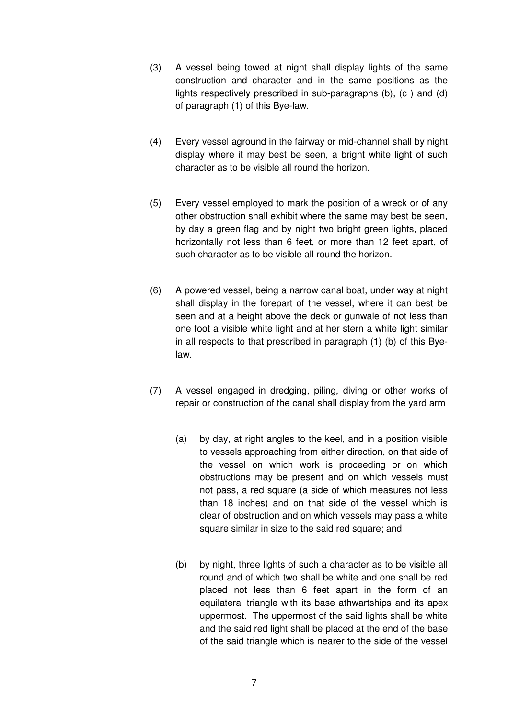- (3) A vessel being towed at night shall display lights of the same construction and character and in the same positions as the lights respectively prescribed in sub-paragraphs (b), (c ) and (d) of paragraph (1) of this Bye-law.
- (4) Every vessel aground in the fairway or mid-channel shall by night display where it may best be seen, a bright white light of such character as to be visible all round the horizon.
- (5) Every vessel employed to mark the position of a wreck or of any other obstruction shall exhibit where the same may best be seen, by day a green flag and by night two bright green lights, placed horizontally not less than 6 feet, or more than 12 feet apart, of such character as to be visible all round the horizon.
- (6) A powered vessel, being a narrow canal boat, under way at night shall display in the forepart of the vessel, where it can best be seen and at a height above the deck or gunwale of not less than one foot a visible white light and at her stern a white light similar in all respects to that prescribed in paragraph (1) (b) of this Byelaw.
- (7) A vessel engaged in dredging, piling, diving or other works of repair or construction of the canal shall display from the yard arm
	- (a) by day, at right angles to the keel, and in a position visible to vessels approaching from either direction, on that side of the vessel on which work is proceeding or on which obstructions may be present and on which vessels must not pass, a red square (a side of which measures not less than 18 inches) and on that side of the vessel which is clear of obstruction and on which vessels may pass a white square similar in size to the said red square; and
	- (b) by night, three lights of such a character as to be visible all round and of which two shall be white and one shall be red placed not less than 6 feet apart in the form of an equilateral triangle with its base athwartships and its apex uppermost. The uppermost of the said lights shall be white and the said red light shall be placed at the end of the base of the said triangle which is nearer to the side of the vessel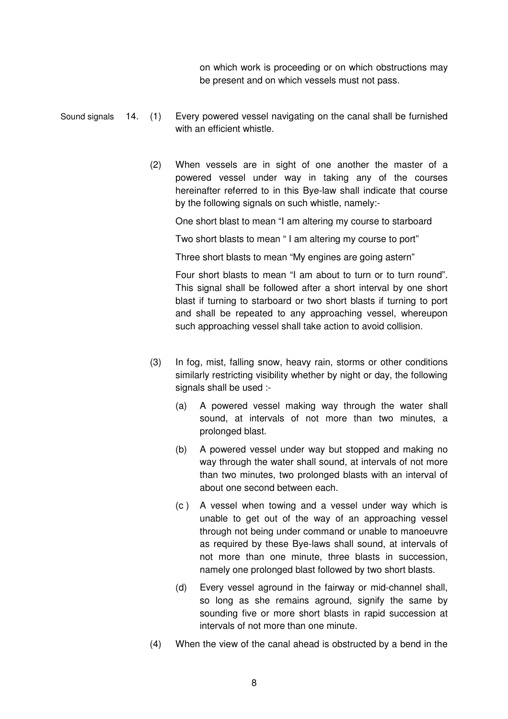on which work is proceeding or on which obstructions may be present and on which vessels must not pass.

- Sound signals 14. (1) Every powered vessel navigating on the canal shall be furnished with an efficient whistle.
	- (2) When vessels are in sight of one another the master of a powered vessel under way in taking any of the courses hereinafter referred to in this Bye-law shall indicate that course by the following signals on such whistle, namely:-

One short blast to mean "I am altering my course to starboard

Two short blasts to mean " I am altering my course to port"

Three short blasts to mean "My engines are going astern"

Four short blasts to mean "I am about to turn or to turn round". This signal shall be followed after a short interval by one short blast if turning to starboard or two short blasts if turning to port and shall be repeated to any approaching vessel, whereupon such approaching vessel shall take action to avoid collision.

- (3) In fog, mist, falling snow, heavy rain, storms or other conditions similarly restricting visibility whether by night or day, the following signals shall be used :-
	- (a) A powered vessel making way through the water shall sound, at intervals of not more than two minutes, a prolonged blast.
	- (b) A powered vessel under way but stopped and making no way through the water shall sound, at intervals of not more than two minutes, two prolonged blasts with an interval of about one second between each.
	- (c ) A vessel when towing and a vessel under way which is unable to get out of the way of an approaching vessel through not being under command or unable to manoeuvre as required by these Bye-laws shall sound, at intervals of not more than one minute, three blasts in succession, namely one prolonged blast followed by two short blasts.
	- (d) Every vessel aground in the fairway or mid-channel shall, so long as she remains aground, signify the same by sounding five or more short blasts in rapid succession at intervals of not more than one minute.
- (4) When the view of the canal ahead is obstructed by a bend in the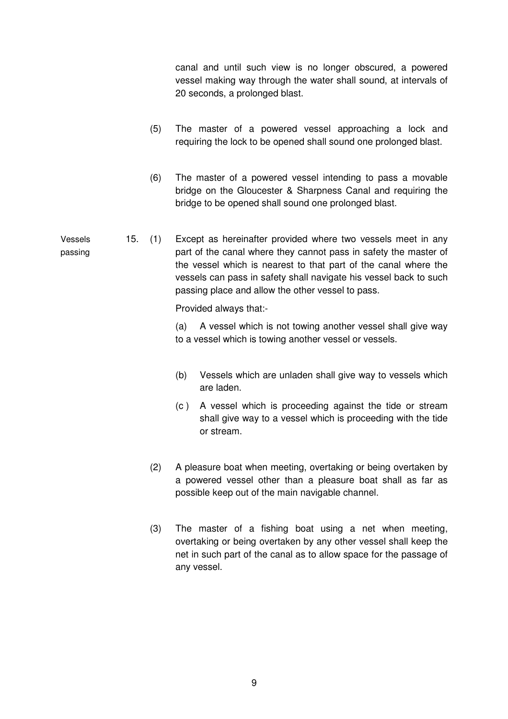canal and until such view is no longer obscured, a powered vessel making way through the water shall sound, at intervals of 20 seconds, a prolonged blast.

- (5) The master of a powered vessel approaching a lock and requiring the lock to be opened shall sound one prolonged blast.
- (6) The master of a powered vessel intending to pass a movable bridge on the Gloucester & Sharpness Canal and requiring the bridge to be opened shall sound one prolonged blast.

Vessels passing 15. (1) Except as hereinafter provided where two vessels meet in any part of the canal where they cannot pass in safety the master of the vessel which is nearest to that part of the canal where the vessels can pass in safety shall navigate his vessel back to such passing place and allow the other vessel to pass.

Provided always that:-

(a) A vessel which is not towing another vessel shall give way to a vessel which is towing another vessel or vessels.

- (b) Vessels which are unladen shall give way to vessels which are laden.
- (c ) A vessel which is proceeding against the tide or stream shall give way to a vessel which is proceeding with the tide or stream.
- (2) A pleasure boat when meeting, overtaking or being overtaken by a powered vessel other than a pleasure boat shall as far as possible keep out of the main navigable channel.
- (3) The master of a fishing boat using a net when meeting, overtaking or being overtaken by any other vessel shall keep the net in such part of the canal as to allow space for the passage of any vessel.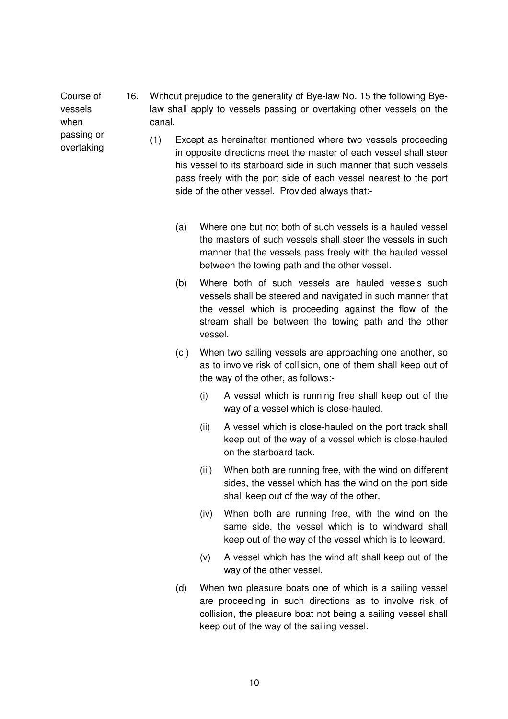Course of vessels when 16. Without prejudice to the generality of Bye-law No. 15 the following Byelaw shall apply to vessels passing or overtaking other vessels on the canal.

passing or overtaking

- (1) Except as hereinafter mentioned where two vessels proceeding in opposite directions meet the master of each vessel shall steer his vessel to its starboard side in such manner that such vessels pass freely with the port side of each vessel nearest to the port side of the other vessel. Provided always that:-
	- (a) Where one but not both of such vessels is a hauled vessel the masters of such vessels shall steer the vessels in such manner that the vessels pass freely with the hauled vessel between the towing path and the other vessel.
	- (b) Where both of such vessels are hauled vessels such vessels shall be steered and navigated in such manner that the vessel which is proceeding against the flow of the stream shall be between the towing path and the other vessel.
	- (c ) When two sailing vessels are approaching one another, so as to involve risk of collision, one of them shall keep out of the way of the other, as follows:-
		- (i) A vessel which is running free shall keep out of the way of a vessel which is close-hauled.
		- (ii) A vessel which is close-hauled on the port track shall keep out of the way of a vessel which is close-hauled on the starboard tack.
		- (iii) When both are running free, with the wind on different sides, the vessel which has the wind on the port side shall keep out of the way of the other.
		- (iv) When both are running free, with the wind on the same side, the vessel which is to windward shall keep out of the way of the vessel which is to leeward.
		- (v) A vessel which has the wind aft shall keep out of the way of the other vessel.
	- (d) When two pleasure boats one of which is a sailing vessel are proceeding in such directions as to involve risk of collision, the pleasure boat not being a sailing vessel shall keep out of the way of the sailing vessel.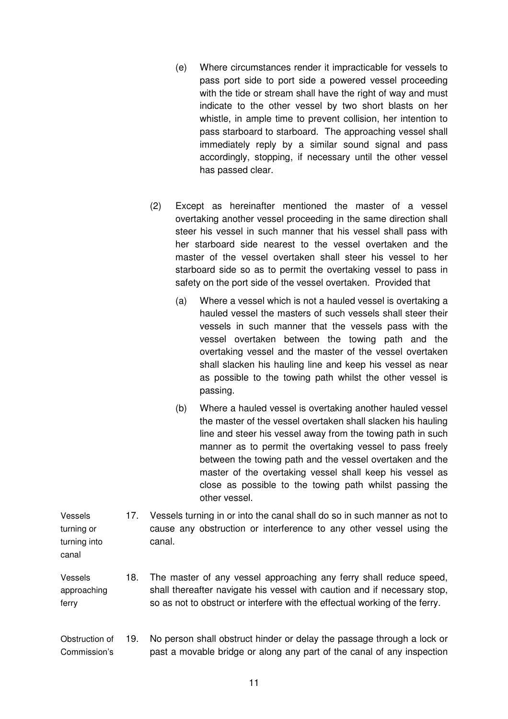- (e) Where circumstances render it impracticable for vessels to pass port side to port side a powered vessel proceeding with the tide or stream shall have the right of way and must indicate to the other vessel by two short blasts on her whistle, in ample time to prevent collision, her intention to pass starboard to starboard. The approaching vessel shall immediately reply by a similar sound signal and pass accordingly, stopping, if necessary until the other vessel has passed clear.
- (2) Except as hereinafter mentioned the master of a vessel overtaking another vessel proceeding in the same direction shall steer his vessel in such manner that his vessel shall pass with her starboard side nearest to the vessel overtaken and the master of the vessel overtaken shall steer his vessel to her starboard side so as to permit the overtaking vessel to pass in safety on the port side of the vessel overtaken. Provided that
	- (a) Where a vessel which is not a hauled vessel is overtaking a hauled vessel the masters of such vessels shall steer their vessels in such manner that the vessels pass with the vessel overtaken between the towing path and the overtaking vessel and the master of the vessel overtaken shall slacken his hauling line and keep his vessel as near as possible to the towing path whilst the other vessel is passing.
	- (b) Where a hauled vessel is overtaking another hauled vessel the master of the vessel overtaken shall slacken his hauling line and steer his vessel away from the towing path in such manner as to permit the overtaking vessel to pass freely between the towing path and the vessel overtaken and the master of the overtaking vessel shall keep his vessel as close as possible to the towing path whilst passing the other vessel.

Vessels turning or turning into canal 17. Vessels turning in or into the canal shall do so in such manner as not to cause any obstruction or interference to any other vessel using the canal.

Vessels approaching ferry 18. The master of any vessel approaching any ferry shall reduce speed, shall thereafter navigate his vessel with caution and if necessary stop, so as not to obstruct or interfere with the effectual working of the ferry.

#### Obstruction of Commission's 19. No person shall obstruct hinder or delay the passage through a lock or past a movable bridge or along any part of the canal of any inspection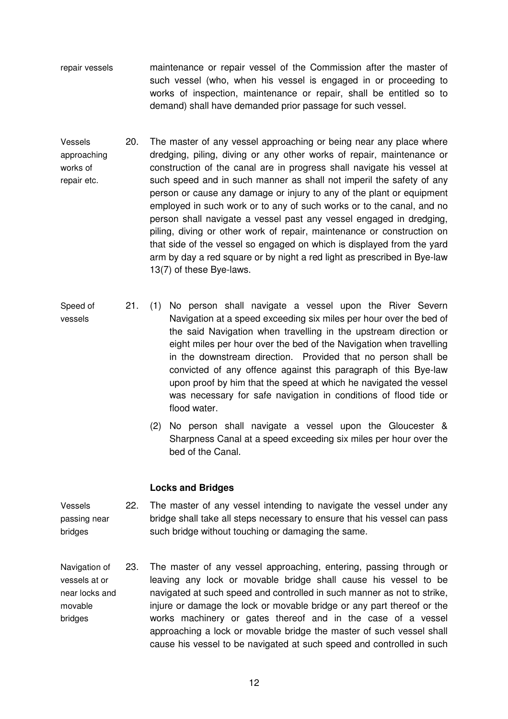- repair vessels maintenance or repair vessel of the Commission after the master of such vessel (who, when his vessel is engaged in or proceeding to works of inspection, maintenance or repair, shall be entitled so to demand) shall have demanded prior passage for such vessel.
- Vessels approaching works of repair etc. 20. The master of any vessel approaching or being near any place where dredging, piling, diving or any other works of repair, maintenance or construction of the canal are in progress shall navigate his vessel at such speed and in such manner as shall not imperil the safety of any person or cause any damage or injury to any of the plant or equipment employed in such work or to any of such works or to the canal, and no person shall navigate a vessel past any vessel engaged in dredging, piling, diving or other work of repair, maintenance or construction on that side of the vessel so engaged on which is displayed from the yard arm by day a red square or by night a red light as prescribed in Bye-law 13(7) of these Bye-laws.
- Speed of vessels 21. (1) No person shall navigate a vessel upon the River Severn Navigation at a speed exceeding six miles per hour over the bed of the said Navigation when travelling in the upstream direction or eight miles per hour over the bed of the Navigation when travelling in the downstream direction. Provided that no person shall be convicted of any offence against this paragraph of this Bye-law upon proof by him that the speed at which he navigated the vessel was necessary for safe navigation in conditions of flood tide or flood water.
	- (2) No person shall navigate a vessel upon the Gloucester & Sharpness Canal at a speed exceeding six miles per hour over the bed of the Canal.

#### **Locks and Bridges**

- Vessels passing near bridges 22. The master of any vessel intending to navigate the vessel under any bridge shall take all steps necessary to ensure that his vessel can pass such bridge without touching or damaging the same.
- Navigation of vessels at or near locks and movable bridges 23. The master of any vessel approaching, entering, passing through or leaving any lock or movable bridge shall cause his vessel to be navigated at such speed and controlled in such manner as not to strike, injure or damage the lock or movable bridge or any part thereof or the works machinery or gates thereof and in the case of a vessel approaching a lock or movable bridge the master of such vessel shall cause his vessel to be navigated at such speed and controlled in such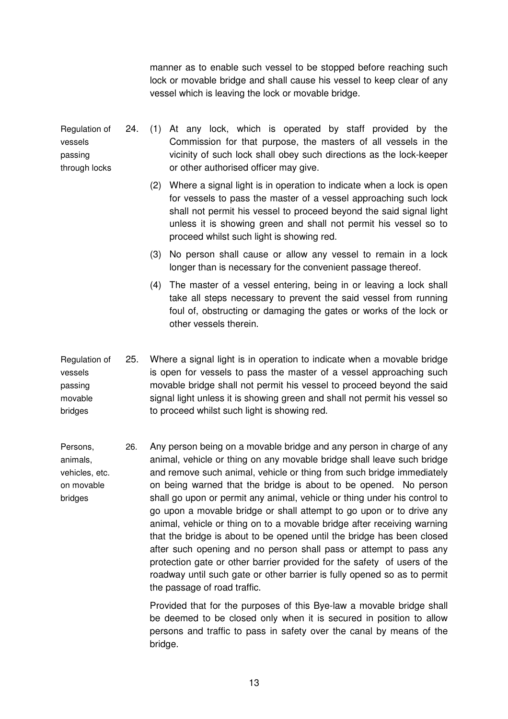manner as to enable such vessel to be stopped before reaching such lock or movable bridge and shall cause his vessel to keep clear of any vessel which is leaving the lock or movable bridge.

Regulation of vessels passing through locks 24. (1) At any lock, which is operated by staff provided by the Commission for that purpose, the masters of all vessels in the vicinity of such lock shall obey such directions as the lock-keeper or other authorised officer may give.

- (2) Where a signal light is in operation to indicate when a lock is open for vessels to pass the master of a vessel approaching such lock shall not permit his vessel to proceed beyond the said signal light unless it is showing green and shall not permit his vessel so to proceed whilst such light is showing red.
- (3) No person shall cause or allow any vessel to remain in a lock longer than is necessary for the convenient passage thereof.
- (4) The master of a vessel entering, being in or leaving a lock shall take all steps necessary to prevent the said vessel from running foul of, obstructing or damaging the gates or works of the lock or other vessels therein.
- Regulation of vessels passing movable bridges 25. Where a signal light is in operation to indicate when a movable bridge is open for vessels to pass the master of a vessel approaching such movable bridge shall not permit his vessel to proceed beyond the said signal light unless it is showing green and shall not permit his vessel so to proceed whilst such light is showing red.
- Persons, animals, vehicles, etc. on movable bridges 26. Any person being on a movable bridge and any person in charge of any animal, vehicle or thing on any movable bridge shall leave such bridge and remove such animal, vehicle or thing from such bridge immediately on being warned that the bridge is about to be opened. No person shall go upon or permit any animal, vehicle or thing under his control to go upon a movable bridge or shall attempt to go upon or to drive any animal, vehicle or thing on to a movable bridge after receiving warning that the bridge is about to be opened until the bridge has been closed after such opening and no person shall pass or attempt to pass any protection gate or other barrier provided for the safety of users of the roadway until such gate or other barrier is fully opened so as to permit the passage of road traffic.

Provided that for the purposes of this Bye-law a movable bridge shall be deemed to be closed only when it is secured in position to allow persons and traffic to pass in safety over the canal by means of the bridge.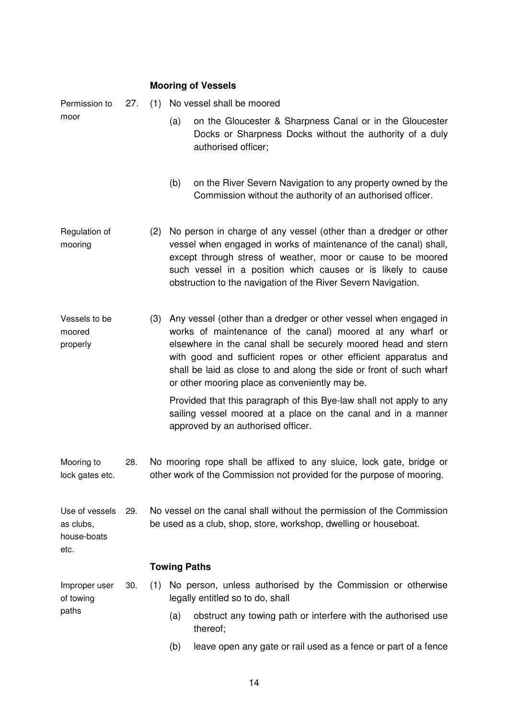|                                                    |     | <b>Mooring of Vessels</b>                                                                                                                     |                                                                                                                                           |                                                                                                                                                                                                                                                                                                                                                                                             |  |
|----------------------------------------------------|-----|-----------------------------------------------------------------------------------------------------------------------------------------------|-------------------------------------------------------------------------------------------------------------------------------------------|---------------------------------------------------------------------------------------------------------------------------------------------------------------------------------------------------------------------------------------------------------------------------------------------------------------------------------------------------------------------------------------------|--|
| Permission to<br>moor                              | 27. |                                                                                                                                               | (1) No vessel shall be moored                                                                                                             |                                                                                                                                                                                                                                                                                                                                                                                             |  |
|                                                    |     |                                                                                                                                               | (a)                                                                                                                                       | on the Gloucester & Sharpness Canal or in the Gloucester<br>Docks or Sharpness Docks without the authority of a duly<br>authorised officer;                                                                                                                                                                                                                                                 |  |
|                                                    |     |                                                                                                                                               | (b)                                                                                                                                       | on the River Severn Navigation to any property owned by the<br>Commission without the authority of an authorised officer.                                                                                                                                                                                                                                                                   |  |
| Regulation of<br>mooring                           |     | (2)                                                                                                                                           |                                                                                                                                           | No person in charge of any vessel (other than a dredger or other<br>vessel when engaged in works of maintenance of the canal) shall,<br>except through stress of weather, moor or cause to be moored<br>such vessel in a position which causes or is likely to cause<br>obstruction to the navigation of the River Severn Navigation.                                                       |  |
| Vessels to be<br>moored<br>properly                |     | (3)                                                                                                                                           |                                                                                                                                           | Any vessel (other than a dredger or other vessel when engaged in<br>works of maintenance of the canal) moored at any wharf or<br>elsewhere in the canal shall be securely moored head and stern<br>with good and sufficient ropes or other efficient apparatus and<br>shall be laid as close to and along the side or front of such wharf<br>or other mooring place as conveniently may be. |  |
|                                                    |     |                                                                                                                                               |                                                                                                                                           | Provided that this paragraph of this Bye-law shall not apply to any<br>sailing vessel moored at a place on the canal and in a manner<br>approved by an authorised officer.                                                                                                                                                                                                                  |  |
| Mooring to<br>lock gates etc.                      | 28. | No mooring rope shall be affixed to any sluice, lock gate, bridge or<br>other work of the Commission not provided for the purpose of mooring. |                                                                                                                                           |                                                                                                                                                                                                                                                                                                                                                                                             |  |
| Use of vessels<br>as clubs,<br>house-boats<br>etc. | 29. |                                                                                                                                               | No vessel on the canal shall without the permission of the Commission<br>be used as a club, shop, store, workshop, dwelling or houseboat. |                                                                                                                                                                                                                                                                                                                                                                                             |  |
|                                                    |     | <b>Towing Paths</b>                                                                                                                           |                                                                                                                                           |                                                                                                                                                                                                                                                                                                                                                                                             |  |
| Improper user<br>of towing<br>paths                | 30. |                                                                                                                                               |                                                                                                                                           | (1) No person, unless authorised by the Commission or otherwise<br>legally entitled so to do, shall                                                                                                                                                                                                                                                                                         |  |
|                                                    |     |                                                                                                                                               | (a)                                                                                                                                       | obstruct any towing path or interfere with the authorised use<br>thereof;                                                                                                                                                                                                                                                                                                                   |  |
|                                                    |     |                                                                                                                                               | (b)                                                                                                                                       | leave open any gate or rail used as a fence or part of a fence                                                                                                                                                                                                                                                                                                                              |  |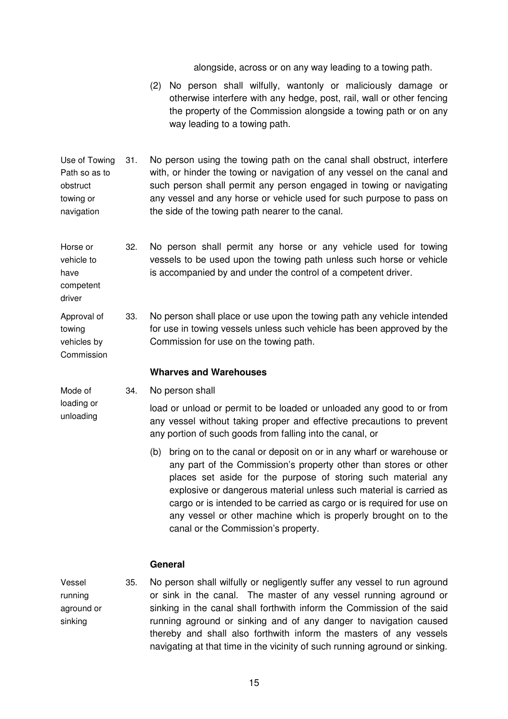alongside, across or on any way leading to a towing path.

- (2) No person shall wilfully, wantonly or maliciously damage or otherwise interfere with any hedge, post, rail, wall or other fencing the property of the Commission alongside a towing path or on any way leading to a towing path.
- Use of Towing Path so as to obstruct towing or navigation 31. No person using the towing path on the canal shall obstruct, interfere with, or hinder the towing or navigation of any vessel on the canal and such person shall permit any person engaged in towing or navigating any vessel and any horse or vehicle used for such purpose to pass on the side of the towing path nearer to the canal.

Horse or vehicle to have competent 32. No person shall permit any horse or any vehicle used for towing vessels to be used upon the towing path unless such horse or vehicle is accompanied by and under the control of a competent driver.

Approval of towing vehicles by 33. No person shall place or use upon the towing path any vehicle intended for use in towing vessels unless such vehicle has been approved by the Commission for use on the towing path.

#### **Wharves and Warehouses**

Mode of loading or

driver

Commission

unloading

34. No person shall

load or unload or permit to be loaded or unloaded any good to or from any vessel without taking proper and effective precautions to prevent any portion of such goods from falling into the canal, or

(b) bring on to the canal or deposit on or in any wharf or warehouse or any part of the Commission's property other than stores or other places set aside for the purpose of storing such material any explosive or dangerous material unless such material is carried as cargo or is intended to be carried as cargo or is required for use on any vessel or other machine which is properly brought on to the canal or the Commission's property.

#### **General**

Vessel running aground or sinking

35. No person shall wilfully or negligently suffer any vessel to run aground or sink in the canal. The master of any vessel running aground or sinking in the canal shall forthwith inform the Commission of the said running aground or sinking and of any danger to navigation caused thereby and shall also forthwith inform the masters of any vessels navigating at that time in the vicinity of such running aground or sinking.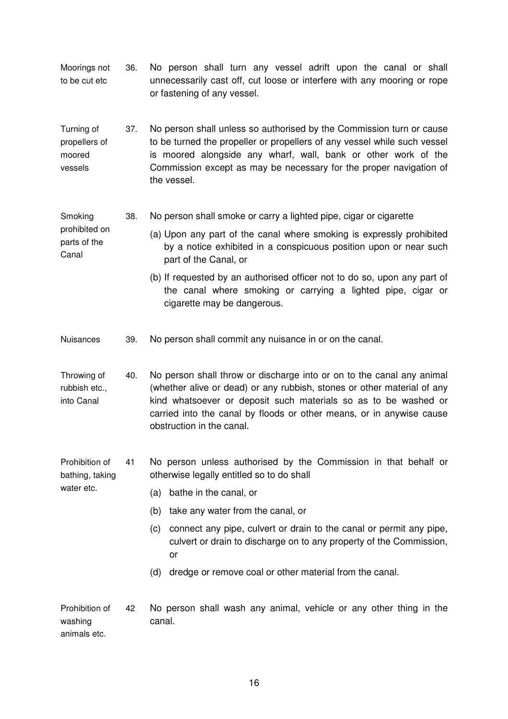Moorings not to be cut etc 36. No person shall turn any vessel adrift upon the canal or shall unnecessarily cast off, cut loose or interfere with any mooring or rope or fastening of any vessel.

Turning of propellers of moored vessels 37. No person shall unless so authorised by the Commission turn or cause to be turned the propeller or propellers of any vessel while such vessel is moored alongside any wharf, wall, bank or other work of the Commission except as may be necessary for the proper navigation of the vessel.

Smoking 38. No person shall smoke or carry a lighted pipe, cigar or cigarette

prohibited on parts of the Canal (a) Upon any part of the canal where smoking is expressly prohibited by a notice exhibited in a conspicuous position upon or near such part of the Canal, or

- (b) If requested by an authorised officer not to do so, upon any part of the canal where smoking or carrying a lighted pipe, cigar or cigarette may be dangerous.
- Nuisances 39. No person shall commit any nuisance in or on the canal.

Throwing of rubbish etc., into Canal 40. No person shall throw or discharge into or on to the canal any animal (whether alive or dead) or any rubbish, stones or other material of any kind whatsoever or deposit such materials so as to be washed or carried into the canal by floods or other means, or in anywise cause obstruction in the canal.

Prohibition of bathing, taking 41 No person unless authorised by the Commission in that behalf or otherwise legally entitled so to do shall

(a) bathe in the canal, or

water etc.

- (b) take any water from the canal, or
- (c) connect any pipe, culvert or drain to the canal or permit any pipe, culvert or drain to discharge on to any property of the Commission, or
- (d) dredge or remove coal or other material from the canal.

Prohibition of washing animals etc. 42 No person shall wash any animal, vehicle or any other thing in the canal.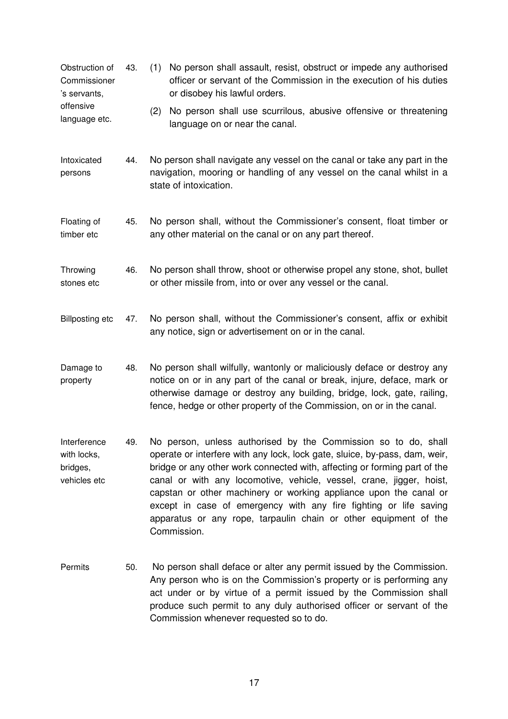- Obstruction of Commissioner 's servants, offensive language etc. 43. (1) No person shall assault, resist, obstruct or impede any authorised officer or servant of the Commission in the execution of his duties or disobey his lawful orders. (2) No person shall use scurrilous, abusive offensive or threatening language on or near the canal. Intoxicated 44. No person shall navigate any vessel on the canal or take any part in the
- persons navigation, mooring or handling of any vessel on the canal whilst in a state of intoxication.
- Floating of timber etc 45. No person shall, without the Commissioner's consent, float timber or any other material on the canal or on any part thereof.
- Throwing stones etc 46. No person shall throw, shoot or otherwise propel any stone, shot, bullet or other missile from, into or over any vessel or the canal.
- Billposting etc 47. No person shall, without the Commissioner's consent, affix or exhibit any notice, sign or advertisement on or in the canal.
- Damage to property 48. No person shall wilfully, wantonly or maliciously deface or destroy any notice on or in any part of the canal or break, injure, deface, mark or otherwise damage or destroy any building, bridge, lock, gate, railing, fence, hedge or other property of the Commission, on or in the canal.
- Interference with locks, bridges, vehicles etc 49. No person, unless authorised by the Commission so to do, shall operate or interfere with any lock, lock gate, sluice, by-pass, dam, weir, bridge or any other work connected with, affecting or forming part of the canal or with any locomotive, vehicle, vessel, crane, jigger, hoist, capstan or other machinery or working appliance upon the canal or except in case of emergency with any fire fighting or life saving apparatus or any rope, tarpaulin chain or other equipment of the Commission.
- Permits 50. No person shall deface or alter any permit issued by the Commission. Any person who is on the Commission's property or is performing any act under or by virtue of a permit issued by the Commission shall produce such permit to any duly authorised officer or servant of the Commission whenever requested so to do.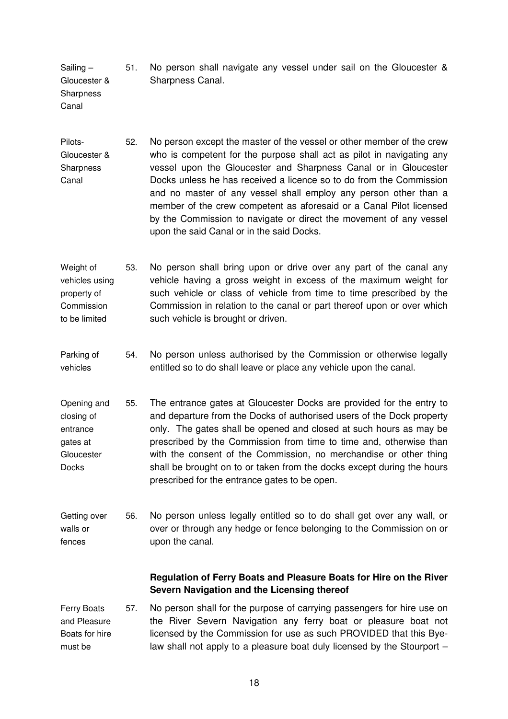Sailing – Gloucester & 51. No person shall navigate any vessel under sail on the Gloucester & Sharpness Canal.

**Sharpness** Canal

- Pilots-Gloucester & **Sharpness** Canal 52. No person except the master of the vessel or other member of the crew who is competent for the purpose shall act as pilot in navigating any vessel upon the Gloucester and Sharpness Canal or in Gloucester Docks unless he has received a licence so to do from the Commission and no master of any vessel shall employ any person other than a member of the crew competent as aforesaid or a Canal Pilot licensed by the Commission to navigate or direct the movement of any vessel upon the said Canal or in the said Docks.
- Weight of vehicles using property of **Commission** to be limited 53. No person shall bring upon or drive over any part of the canal any vehicle having a gross weight in excess of the maximum weight for such vehicle or class of vehicle from time to time prescribed by the Commission in relation to the canal or part thereof upon or over which such vehicle is brought or driven.
- Parking of vehicles 54. No person unless authorised by the Commission or otherwise legally entitled so to do shall leave or place any vehicle upon the canal.
- Opening and closing of entrance gates at **Gloucester Docks** 55. The entrance gates at Gloucester Docks are provided for the entry to and departure from the Docks of authorised users of the Dock property only. The gates shall be opened and closed at such hours as may be prescribed by the Commission from time to time and, otherwise than with the consent of the Commission, no merchandise or other thing shall be brought on to or taken from the docks except during the hours prescribed for the entrance gates to be open.

Getting over walls or fences 56. No person unless legally entitled so to do shall get over any wall, or over or through any hedge or fence belonging to the Commission on or upon the canal.

### **Regulation of Ferry Boats and Pleasure Boats for Hire on the River Severn Navigation and the Licensing thereof**

Ferry Boats and Pleasure Boats for hire must be 57. No person shall for the purpose of carrying passengers for hire use on the River Severn Navigation any ferry boat or pleasure boat not licensed by the Commission for use as such PROVIDED that this Byelaw shall not apply to a pleasure boat duly licensed by the Stourport –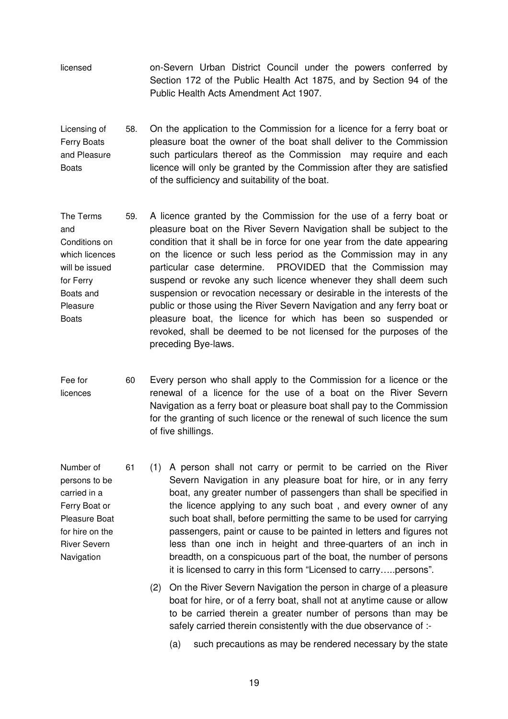- licensed on-Severn Urban District Council under the powers conferred by Section 172 of the Public Health Act 1875, and by Section 94 of the Public Health Acts Amendment Act 1907.
- Licensing of Ferry Boats and Pleasure **Boats** 58. On the application to the Commission for a licence for a ferry boat or pleasure boat the owner of the boat shall deliver to the Commission such particulars thereof as the Commission may require and each licence will only be granted by the Commission after they are satisfied of the sufficiency and suitability of the boat.
- The Terms and Conditions on which licences will be issued for Ferry Boats and Pleasure **Boats** 59. A licence granted by the Commission for the use of a ferry boat or pleasure boat on the River Severn Navigation shall be subject to the condition that it shall be in force for one year from the date appearing on the licence or such less period as the Commission may in any particular case determine. PROVIDED that the Commission may suspend or revoke any such licence whenever they shall deem such suspension or revocation necessary or desirable in the interests of the public or those using the River Severn Navigation and any ferry boat or pleasure boat, the licence for which has been so suspended or revoked, shall be deemed to be not licensed for the purposes of the preceding Bye-laws.
- Fee for licences 60 Every person who shall apply to the Commission for a licence or the renewal of a licence for the use of a boat on the River Severn Navigation as a ferry boat or pleasure boat shall pay to the Commission for the granting of such licence or the renewal of such licence the sum of five shillings.

Number of persons to be carried in a Ferry Boat or Pleasure Boat for hire on the River Severn Navigation

- 61 (1) A person shall not carry or permit to be carried on the River Severn Navigation in any pleasure boat for hire, or in any ferry boat, any greater number of passengers than shall be specified in the licence applying to any such boat , and every owner of any such boat shall, before permitting the same to be used for carrying passengers, paint or cause to be painted in letters and figures not less than one inch in height and three-quarters of an inch in breadth, on a conspicuous part of the boat, the number of persons it is licensed to carry in this form "Licensed to carry…..persons".
	- (2) On the River Severn Navigation the person in charge of a pleasure boat for hire, or of a ferry boat, shall not at anytime cause or allow to be carried therein a greater number of persons than may be safely carried therein consistently with the due observance of :-
		- (a) such precautions as may be rendered necessary by the state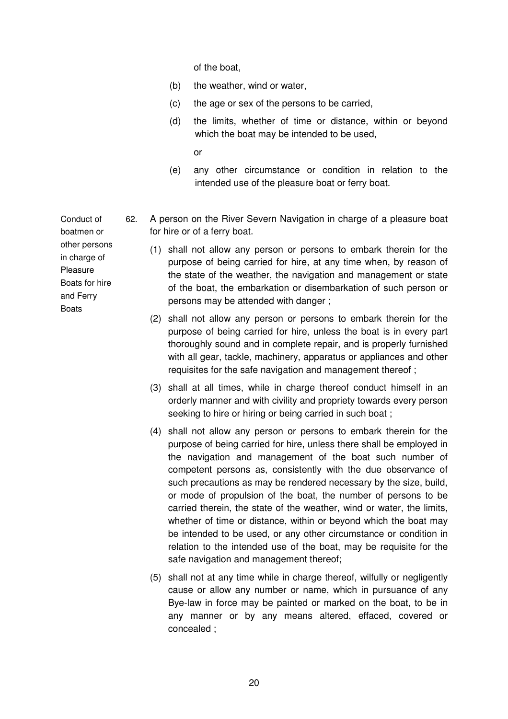of the boat,

- (b) the weather, wind or water,
- (c) the age or sex of the persons to be carried,
- (d) the limits, whether of time or distance, within or beyond which the boat may be intended to be used,
	- or
- (e) any other circumstance or condition in relation to the intended use of the pleasure boat or ferry boat.
- 62. A person on the River Severn Navigation in charge of a pleasure boat for hire or of a ferry boat.
	- (1) shall not allow any person or persons to embark therein for the purpose of being carried for hire, at any time when, by reason of the state of the weather, the navigation and management or state of the boat, the embarkation or disembarkation of such person or persons may be attended with danger ;
		- (2) shall not allow any person or persons to embark therein for the purpose of being carried for hire, unless the boat is in every part thoroughly sound and in complete repair, and is properly furnished with all gear, tackle, machinery, apparatus or appliances and other requisites for the safe navigation and management thereof ;
		- (3) shall at all times, while in charge thereof conduct himself in an orderly manner and with civility and propriety towards every person seeking to hire or hiring or being carried in such boat ;
		- (4) shall not allow any person or persons to embark therein for the purpose of being carried for hire, unless there shall be employed in the navigation and management of the boat such number of competent persons as, consistently with the due observance of such precautions as may be rendered necessary by the size, build, or mode of propulsion of the boat, the number of persons to be carried therein, the state of the weather, wind or water, the limits, whether of time or distance, within or beyond which the boat may be intended to be used, or any other circumstance or condition in relation to the intended use of the boat, may be requisite for the safe navigation and management thereof;
		- (5) shall not at any time while in charge thereof, wilfully or negligently cause or allow any number or name, which in pursuance of any Bye-law in force may be painted or marked on the boat, to be in any manner or by any means altered, effaced, covered or concealed ;

Conduct of boatmen or other persons in charge of Pleasure Boats for hire and Ferry Boats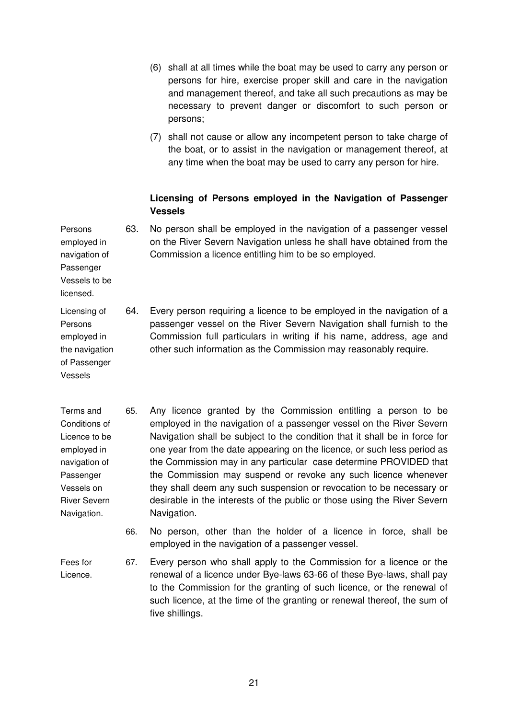- (6) shall at all times while the boat may be used to carry any person or persons for hire, exercise proper skill and care in the navigation and management thereof, and take all such precautions as may be necessary to prevent danger or discomfort to such person or persons;
- (7) shall not cause or allow any incompetent person to take charge of the boat, or to assist in the navigation or management thereof, at any time when the boat may be used to carry any person for hire.

#### **Licensing of Persons employed in the Navigation of Passenger Vessels**

Persons employed in navigation of Passenger Vessels to be 63. No person shall be employed in the navigation of a passenger vessel on the River Severn Navigation unless he shall have obtained from the Commission a licence entitling him to be so employed.

- Licensing of Persons employed in the navigation of Passenger 64. Every person requiring a licence to be employed in the navigation of a passenger vessel on the River Severn Navigation shall furnish to the Commission full particulars in writing if his name, address, age and other such information as the Commission may reasonably require.
- Terms and Conditions of Licence to be employed in navigation of Passenger Vessels on River Severn Navigation. 65. Any licence granted by the Commission entitling a person to be employed in the navigation of a passenger vessel on the River Severn Navigation shall be subject to the condition that it shall be in force for one year from the date appearing on the licence, or such less period as the Commission may in any particular case determine PROVIDED that the Commission may suspend or revoke any such licence whenever they shall deem any such suspension or revocation to be necessary or desirable in the interests of the public or those using the River Severn Navigation.
	- 66. No person, other than the holder of a licence in force, shall be employed in the navigation of a passenger vessel.

Fees for Licence.

licensed.

Vessels

67. Every person who shall apply to the Commission for a licence or the renewal of a licence under Bye-laws 63-66 of these Bye-laws, shall pay to the Commission for the granting of such licence, or the renewal of such licence, at the time of the granting or renewal thereof, the sum of five shillings.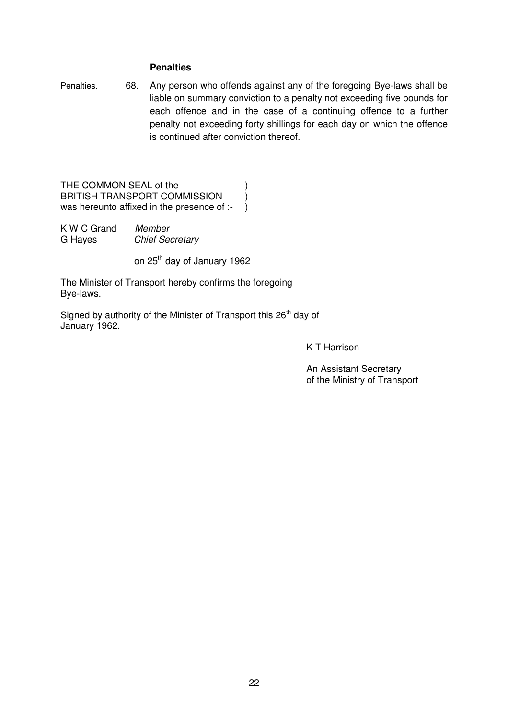#### **Penalties**

Penalties. 68. Any person who offends against any of the foregoing Bye-laws shall be liable on summary conviction to a penalty not exceeding five pounds for each offence and in the case of a continuing offence to a further penalty not exceeding forty shillings for each day on which the offence is continued after conviction thereof.

THE COMMON SEAL of the  $)$ BRITISH TRANSPORT COMMISSION  $\qquad$ ) was hereunto affixed in the presence of :- )

| K W C Grand | Member                 |
|-------------|------------------------|
| G Hayes     | <b>Chief Secretary</b> |

on 25<sup>th</sup> day of January 1962

The Minister of Transport hereby confirms the foregoing Bye-laws.

Signed by authority of the Minister of Transport this 26<sup>th</sup> day of January 1962.

K T Harrison

An Assistant Secretary of the Ministry of Transport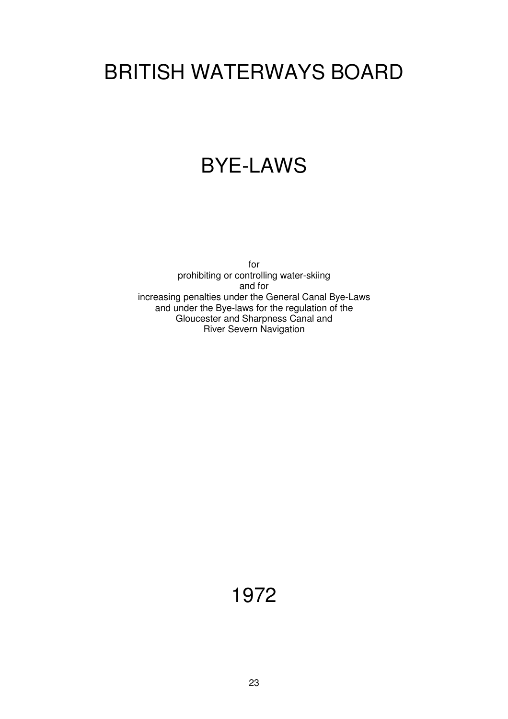# BRITISH WATERWAYS BOARD

### BYE-LAWS

for prohibiting or controlling water-skiing and for increasing penalties under the General Canal Bye-Laws and under the Bye-laws for the regulation of the Gloucester and Sharpness Canal and River Severn Navigation

1972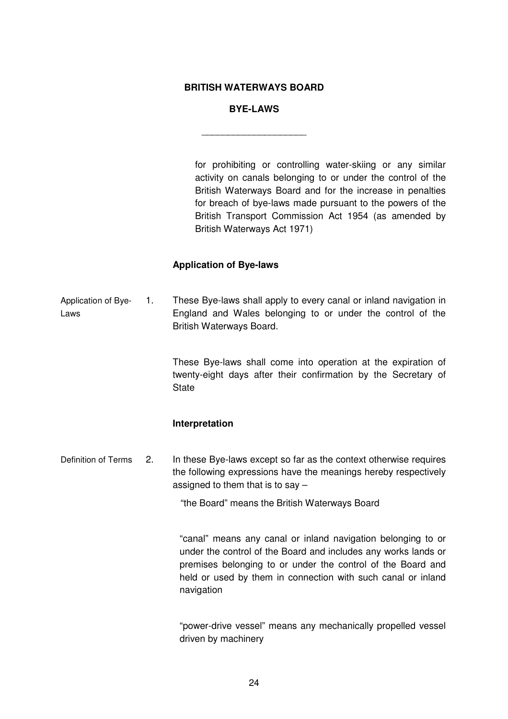#### **BRITISH WATERWAYS BOARD**

#### **BYE-LAWS**

\_\_\_\_\_\_\_\_\_\_\_\_\_\_\_\_\_\_\_\_

for prohibiting or controlling water-skiing or any similar activity on canals belonging to or under the control of the British Waterways Board and for the increase in penalties for breach of bye-laws made pursuant to the powers of the British Transport Commission Act 1954 (as amended by British Waterways Act 1971)

#### **Application of Bye-laws**

Application of Bye-Laws 1. These Bye-laws shall apply to every canal or inland navigation in England and Wales belonging to or under the control of the British Waterways Board.

> These Bye-laws shall come into operation at the expiration of twenty-eight days after their confirmation by the Secretary of **State**

#### **Interpretation**

Definition of Terms 2. In these Bye-laws except so far as the context otherwise requires the following expressions have the meanings hereby respectively assigned to them that is to say –

"the Board" means the British Waterways Board

"canal" means any canal or inland navigation belonging to or under the control of the Board and includes any works lands or premises belonging to or under the control of the Board and held or used by them in connection with such canal or inland navigation

"power-drive vessel" means any mechanically propelled vessel driven by machinery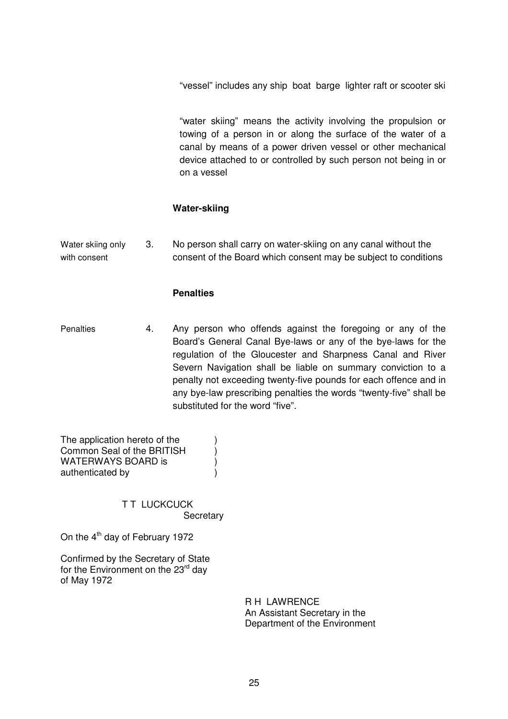"vessel" includes any ship boat barge lighter raft or scooter ski

"water skiing" means the activity involving the propulsion or towing of a person in or along the surface of the water of a canal by means of a power driven vessel or other mechanical device attached to or controlled by such person not being in or on a vessel

#### **Water-skiing**

Water skiing only with consent 3. No person shall carry on water-skiing on any canal without the consent of the Board which consent may be subject to conditions

#### **Penalties**

Penalties 4. Any person who offends against the foregoing or any of the Board's General Canal Bye-laws or any of the bye-laws for the regulation of the Gloucester and Sharpness Canal and River Severn Navigation shall be liable on summary conviction to a penalty not exceeding twenty-five pounds for each offence and in any bye-law prescribing penalties the words "twenty-five" shall be substituted for the word "five".

The application hereto of the  $\qquad \qquad$ ) Common Seal of the BRITISH (a)<br>WATERWAYS BOARD is WATERWAYS BOARD is authenticated by (a)

> **TT LUCKCUCK Secretary**

On the 4<sup>th</sup> day of February 1972

Confirmed by the Secretary of State for the Environment on the 23<sup>rd</sup> day of May 1972

> R H LAWRENCE An Assistant Secretary in the Department of the Environment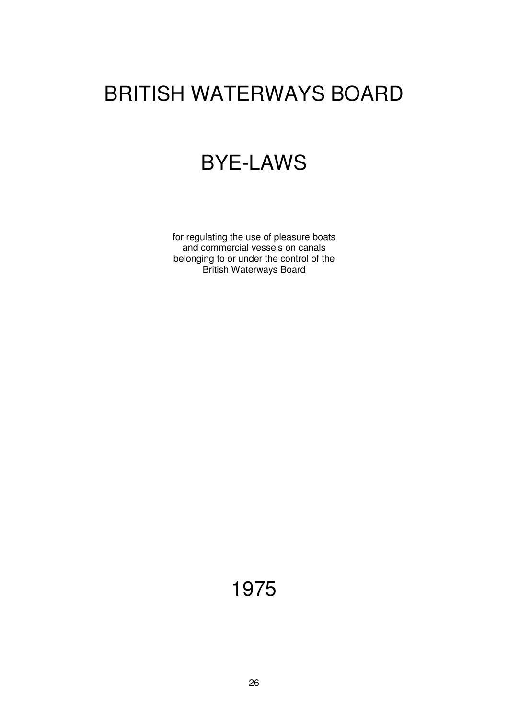# BRITISH WATERWAYS BOARD

### BYE-LAWS

for regulating the use of pleasure boats and commercial vessels on canals belonging to or under the control of the British Waterways Board

1975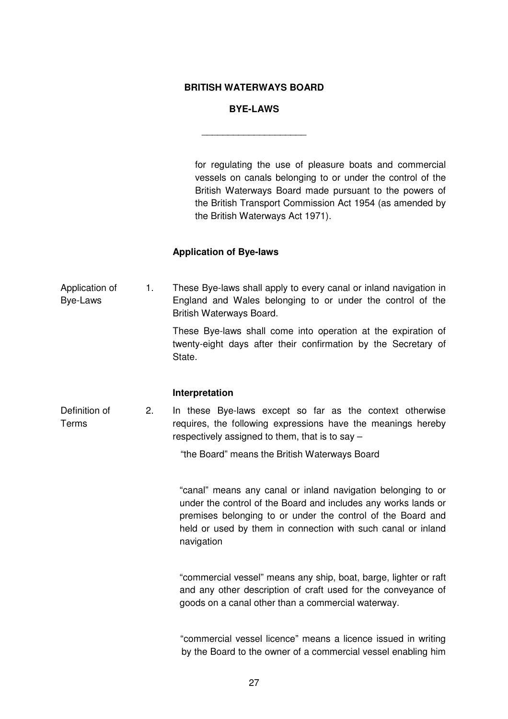#### **BRITISH WATERWAYS BOARD**

#### **BYE-LAWS**

\_\_\_\_\_\_\_\_\_\_\_\_\_\_\_\_\_\_\_\_

for regulating the use of pleasure boats and commercial vessels on canals belonging to or under the control of the British Waterways Board made pursuant to the powers of the British Transport Commission Act 1954 (as amended by the British Waterways Act 1971).

#### **Application of Bye-laws**

Application of Bye-Laws 1. These Bye-laws shall apply to every canal or inland navigation in England and Wales belonging to or under the control of the British Waterways Board.

> These Bye-laws shall come into operation at the expiration of twenty-eight days after their confirmation by the Secretary of State.

#### **Interpretation**

Definition of Terms 2. In these Bye-laws except so far as the context otherwise requires, the following expressions have the meanings hereby respectively assigned to them, that is to say –

"the Board" means the British Waterways Board

"canal" means any canal or inland navigation belonging to or under the control of the Board and includes any works lands or premises belonging to or under the control of the Board and held or used by them in connection with such canal or inland navigation

"commercial vessel" means any ship, boat, barge, lighter or raft and any other description of craft used for the conveyance of goods on a canal other than a commercial waterway.

"commercial vessel licence" means a licence issued in writing by the Board to the owner of a commercial vessel enabling him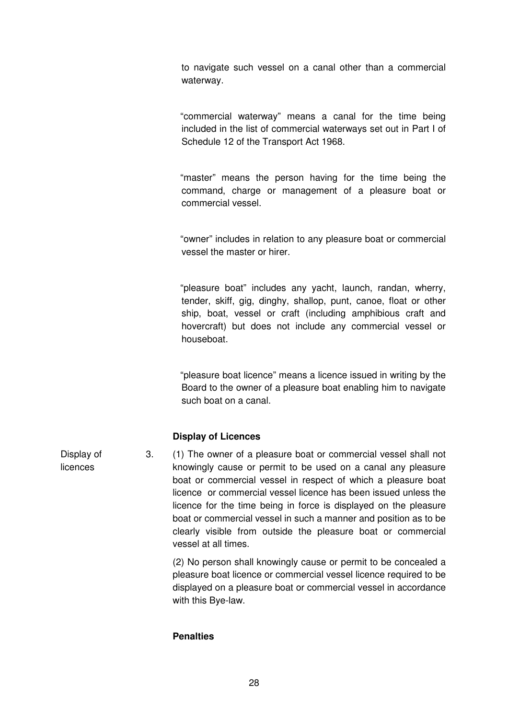to navigate such vessel on a canal other than a commercial waterway.

"commercial waterway" means a canal for the time being included in the list of commercial waterways set out in Part I of Schedule 12 of the Transport Act 1968.

"master" means the person having for the time being the command, charge or management of a pleasure boat or commercial vessel.

"owner" includes in relation to any pleasure boat or commercial vessel the master or hirer.

"pleasure boat" includes any yacht, launch, randan, wherry, tender, skiff, gig, dinghy, shallop, punt, canoe, float or other ship, boat, vessel or craft (including amphibious craft and hovercraft) but does not include any commercial vessel or houseboat.

"pleasure boat licence" means a licence issued in writing by the Board to the owner of a pleasure boat enabling him to navigate such boat on a canal.

#### **Display of Licences**

Display of licences 3. (1) The owner of a pleasure boat or commercial vessel shall not knowingly cause or permit to be used on a canal any pleasure boat or commercial vessel in respect of which a pleasure boat licence or commercial vessel licence has been issued unless the licence for the time being in force is displayed on the pleasure boat or commercial vessel in such a manner and position as to be clearly visible from outside the pleasure boat or commercial vessel at all times.

> (2) No person shall knowingly cause or permit to be concealed a pleasure boat licence or commercial vessel licence required to be displayed on a pleasure boat or commercial vessel in accordance with this Bye-law.

#### **Penalties**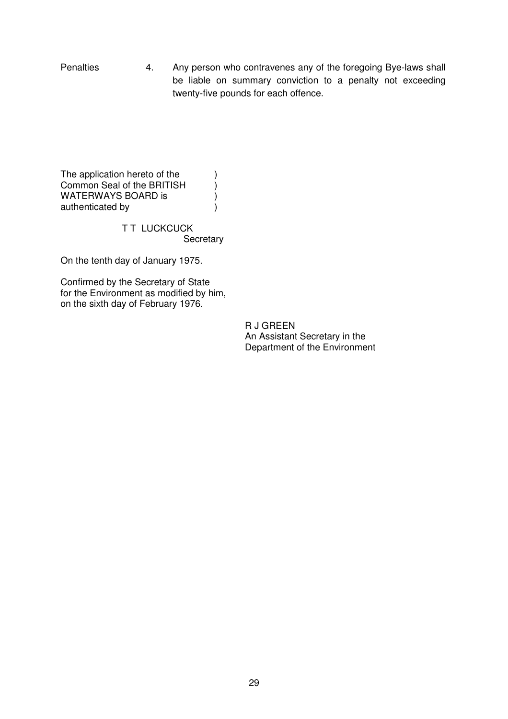Penalties 4. Any person who contravenes any of the foregoing Bye-laws shall be liable on summary conviction to a penalty not exceeding twenty-five pounds for each offence.

The application hereto of the  $\qquad)$ Common Seal of the BRITISH  $\overrightarrow{y}$  WATERWAYS BOARD is WATERWAYS BOARD is ) authenticated by (a)

> **TT LUCKCUCK Secretary**

On the tenth day of January 1975.

Confirmed by the Secretary of State for the Environment as modified by him, on the sixth day of February 1976.

> R J GREEN An Assistant Secretary in the Department of the Environment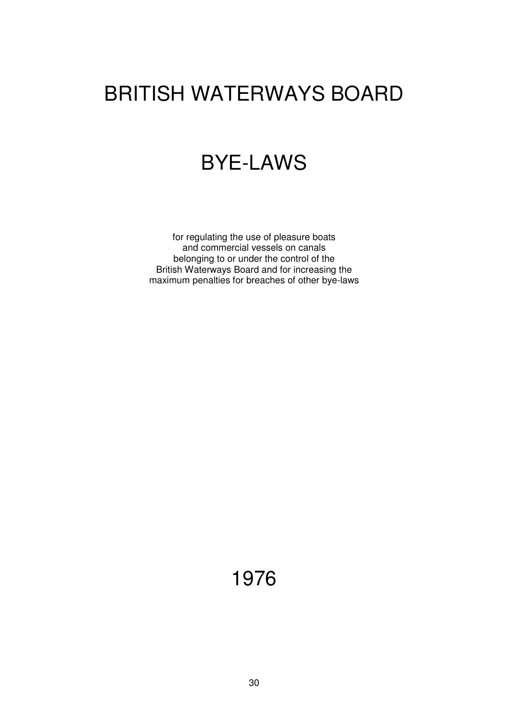# BRITISH WATERWAYS BOARD

### BYE-LAWS

for regulating the use of pleasure boats and commercial vessels on canals belonging to or under the control of the British Waterways Board and for increasing the maximum penalties for breaches of other bye-laws

1976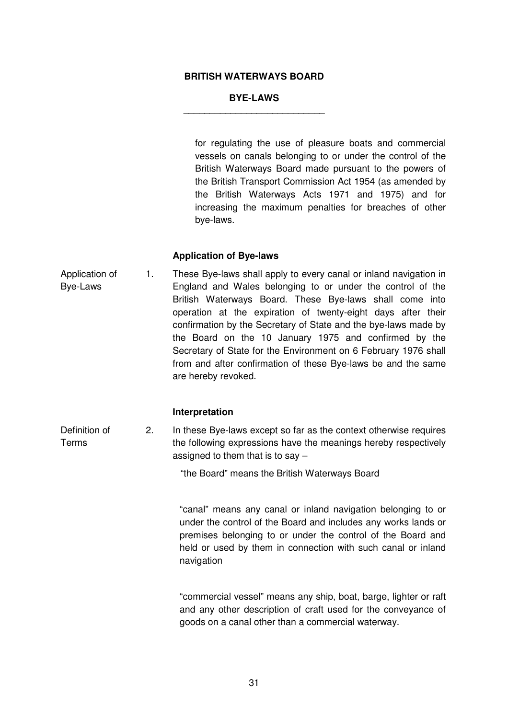#### **BRITISH WATERWAYS BOARD**

#### **BYE-LAWS** \_\_\_\_\_\_\_\_\_\_\_\_\_\_\_\_\_\_\_\_\_\_\_\_\_\_\_

for regulating the use of pleasure boats and commercial vessels on canals belonging to or under the control of the British Waterways Board made pursuant to the powers of the British Transport Commission Act 1954 (as amended by the British Waterways Acts 1971 and 1975) and for increasing the maximum penalties for breaches of other bye-laws.

#### **Application of Bye-laws**

Application of Bye-Laws 1. These Bye-laws shall apply to every canal or inland navigation in England and Wales belonging to or under the control of the British Waterways Board. These Bye-laws shall come into operation at the expiration of twenty-eight days after their confirmation by the Secretary of State and the bye-laws made by the Board on the 10 January 1975 and confirmed by the Secretary of State for the Environment on 6 February 1976 shall from and after confirmation of these Bye-laws be and the same are hereby revoked.

#### **Interpretation**

Definition of Terms 2. In these Bye-laws except so far as the context otherwise requires the following expressions have the meanings hereby respectively assigned to them that is to say –

"the Board" means the British Waterways Board

"canal" means any canal or inland navigation belonging to or under the control of the Board and includes any works lands or premises belonging to or under the control of the Board and held or used by them in connection with such canal or inland navigation

"commercial vessel" means any ship, boat, barge, lighter or raft and any other description of craft used for the conveyance of goods on a canal other than a commercial waterway.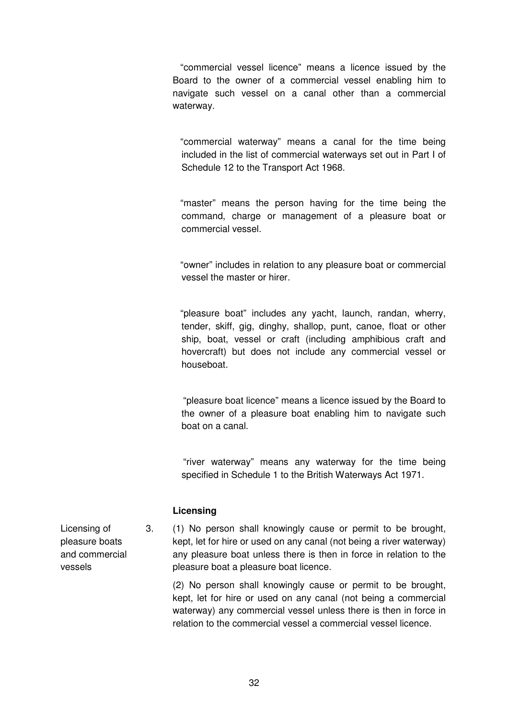"commercial vessel licence" means a licence issued by the Board to the owner of a commercial vessel enabling him to navigate such vessel on a canal other than a commercial waterway.

"commercial waterway" means a canal for the time being included in the list of commercial waterways set out in Part I of Schedule 12 to the Transport Act 1968.

"master" means the person having for the time being the command, charge or management of a pleasure boat or commercial vessel.

"owner" includes in relation to any pleasure boat or commercial vessel the master or hirer.

"pleasure boat" includes any yacht, launch, randan, wherry, tender, skiff, gig, dinghy, shallop, punt, canoe, float or other ship, boat, vessel or craft (including amphibious craft and hovercraft) but does not include any commercial vessel or houseboat.

"pleasure boat licence" means a licence issued by the Board to the owner of a pleasure boat enabling him to navigate such boat on a canal.

"river waterway" means any waterway for the time being specified in Schedule 1 to the British Waterways Act 1971.

#### **Licensing**

3. (1) No person shall knowingly cause or permit to be brought, kept, let for hire or used on any canal (not being a river waterway) any pleasure boat unless there is then in force in relation to the pleasure boat a pleasure boat licence.

> (2) No person shall knowingly cause or permit to be brought, kept, let for hire or used on any canal (not being a commercial waterway) any commercial vessel unless there is then in force in relation to the commercial vessel a commercial vessel licence.

Licensing of pleasure boats and commercial vessels